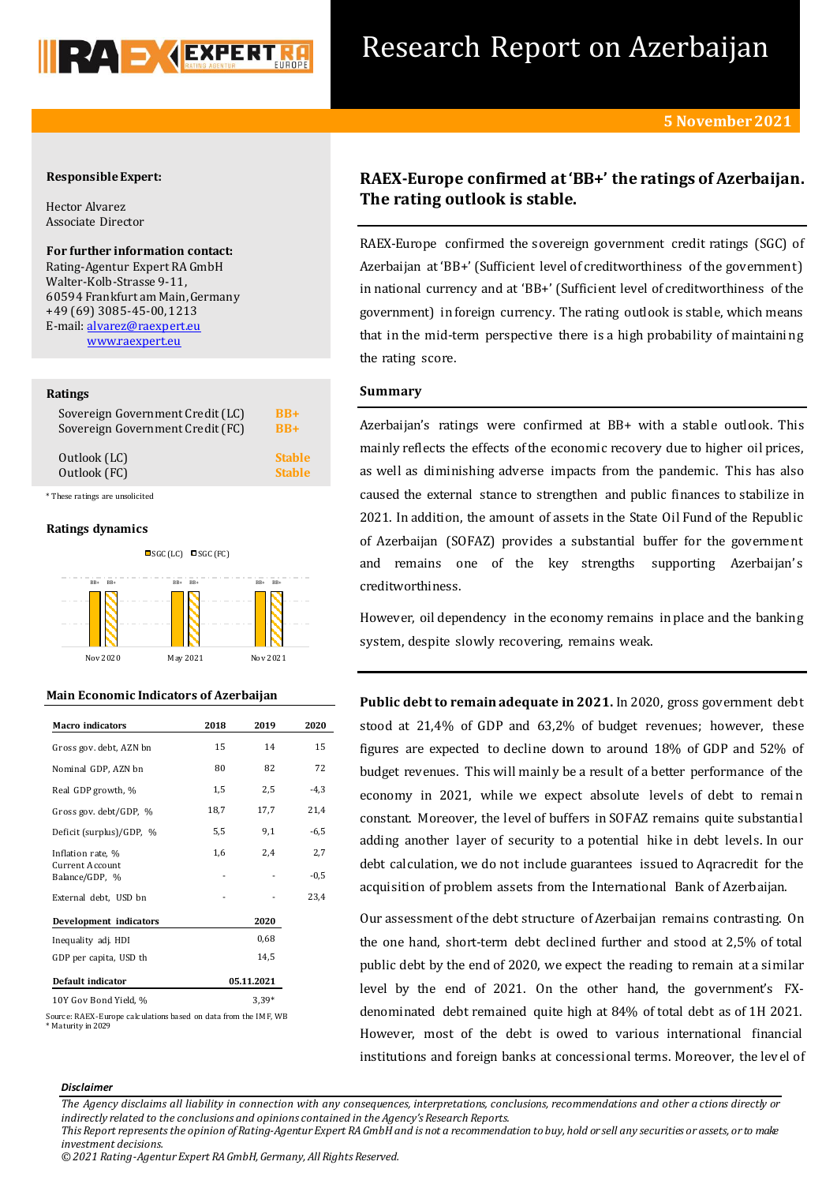

# Research Report on Azerbaijan

## **Responsible Expert:**

Hector Alvarez Associate Director

### **For further information contact:**

Rating-Agentur Expert RA GmbH Walter-Kolb-Strasse 9-11, 60594 Frankfurt am Main, Germany +49 (69) 3085-45-00, 1213 E-mail[: alvarez@raexpert.eu](mailto:alvarez@raexpert.eu) [www.raexpert.eu](http://raexpert.eu/)

### **Ratings**

| Sovereign Government Credit (LC) | $BR+$         |
|----------------------------------|---------------|
| Sovereign Government Credit (FC) | $BR+$         |
| Outlook (LC)                     | <b>Stable</b> |
| Outlook (FC)                     | <b>Stable</b> |

\* These ratings are unsolicited

### **Ratings dynamics**



### **Main Economic Indicators of Azerbaijan**

| Macro indicators                  | 2018 | 2019       | 2020   |
|-----------------------------------|------|------------|--------|
| Gross gov. debt, AZN bn           | 15   | 14         | 15     |
| Nominal GDP, AZN bn               | 80   | 82         | 72     |
| Real GDP growth, %                | 1,5  | 2,5        | $-4,3$ |
| Gross gov. debt/GDP, %            | 18,7 | 17,7       | 21,4   |
| Deficit (surplus)/GDP, %          | 5,5  | 9,1        | $-6,5$ |
| Inflation rate, %                 | 1,6  | 2,4        | 2,7    |
| Current Account<br>Balance/GDP, % |      |            | $-0,5$ |
| External debt, USD bn             |      |            | 23,4   |
| <b>Development</b> indicators     |      | 2020       |        |
| Inequality adj. HDI               |      | 0,68       |        |
| GDP per capita, USD th            |      | 14,5       |        |
| Default indicator                 |      | 05.11.2021 |        |
| 10Y Gov Bond Yield, %             |      | $3.39*$    |        |

Source: RAEX-Europe calculations based on data from the IMF, WB \* Maturity in 2029

# **RAEX-Europe confirmed at 'BB+' the ratings of Azerbaijan. The rating outlook is stable.**

RAEX-Europe confirmed the sovereign government credit ratings (SGC) of Azerbaijan at 'BB+' (Sufficient level of creditworthiness of the government) in national currency and at 'BB+' (Sufficient level of creditworthiness of the government) in foreign currency. The rating outlook is stable, which means that in the mid-term perspective there is a high probability of maintaining the rating score.

# **Summary**

Azerbaijan's ratings were confirmed at BB+ with a stable outlook. This mainly reflects the effects of the economic recovery due to higher oil prices, as well as diminishing adverse impacts from the pandemic. This has also caused the external stance to strengthen and public finances to stabilize in 2021. In addition, the amount of assets in the State Oil Fund of the Republic of Azerbaijan (SOFAZ) provides a substantial buffer for the government and remains one of the key strengths supporting Azerbaijan's creditworthiness.

However, oil dependency in the economy remains in place and the banking system, despite slowly recovering, remains weak.

**Public debt to remain adequate in 2021.** In 2020, gross government debt stood at 21,4% of GDP and 63,2% of budget revenues; however, these figures are expected to decline down to around 18% of GDP and 52% of budget revenues. This will mainly be a result of a better performance of the economy in 2021, while we expect absolute levels of debt to remain constant. Moreover, the level of buffers in SOFAZ remains quite substantial adding another layer of security to a potential hike in debt levels. In our debt calculation, we do not include guarantees issued to Aqracredit for the acquisition of problem assets from the International Bank of Azerbaijan.

Our assessment ofthe debt structure of Azerbaijan remains contrasting. On the one hand, short-term debt declined further and stood at 2,5% of total public debt by the end of 2020, we expect the reading to remain at a similar level by the end of 2021. On the other hand, the government's FXdenominated debt remained quite high at 84% of total debt as of 1H 2021. However, most of the debt is owed to various international financial institutions and foreign banks at concessional terms. Moreover, the level of

#### *Disclaimer*

*The Agency disclaims all liability in connection with any consequences, interpretations, conclusions, recommendations and other a ctions directly or indirectly related to the conclusions and opinions contained in the Agency's Research Reports. This Report represents the opinion of Rating-Agentur Expert RA GmbH and is not a recommendation to buy, hold or sell any securities or assets, or to make* 

*© 2021 Rating-Agentur Expert RA GmbH, Germany, All Rights Reserved.*

*investment decisions.*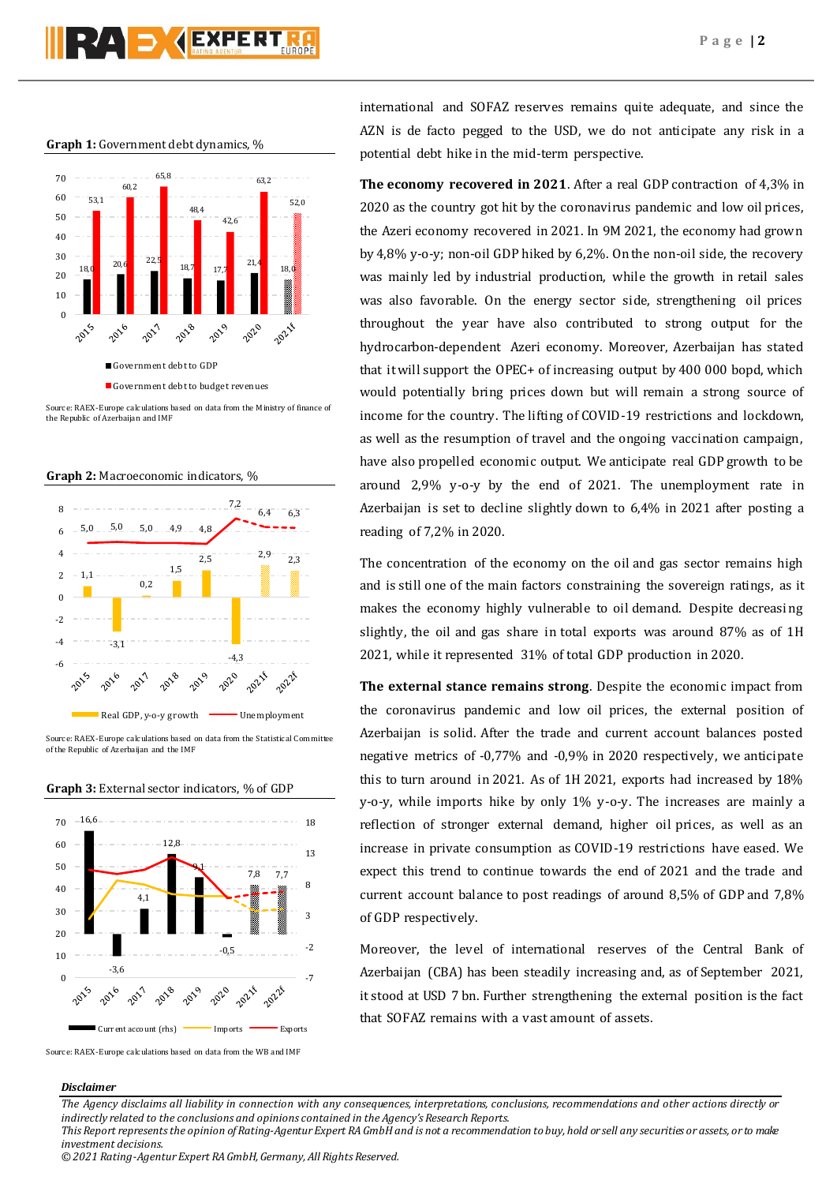### **Graph 1:** Government debt dynamics, %



Source: RAEX-Europe calculations based on data from the Ministry of finance of the Republic of Azerbaijan and IMF



Source: RAEX-Europe calculations based on data from the Statistical Committee of the Republic of Azerbaijan and the IMF





Source: RAEX-Europe calculations based on data from the WB and IMF

international and SOFAZ reserves remains quite adequate, and since the AZN is de facto pegged to the USD, we do not anticipate any risk in a potential debt hike in the mid-term perspective.

**The economy recovered in 2021**. After a real GDP contraction of 4,3% in 2020 as the country got hit by the coronavirus pandemic and low oil prices, the Azeri economy recovered in 2021. In 9M 2021, the economy had grown by 4,8% y-o-y; non-oil GDP hiked by 6,2%. On the non-oil side, the recovery was mainly led by industrial production, while the growth in retail sales was also favorable. On the energy sector side, strengthening oil prices throughout the year have also contributed to strong output for the hydrocarbon-dependent Azeri economy. Moreover, Azerbaijan has stated that it will support the OPEC+ of increasing output by 400 000 bopd, which would potentially bring prices down but will remain a strong source of income for the country. The lifting of COVID-19 restrictions and lockdown, as well as the resumption of travel and the ongoing vaccination campaign, have also propelled economic output. We anticipate real GDP growth to be around 2,9% y-o-y by the end of 2021. The unemployment rate in Azerbaijan is set to decline slightly down to 6,4% in 2021 after posting a reading of 7,2% in 2020.

The concentration of the economy on the oil and gas sector remains high and is still one of the main factors constraining the sovereign ratings, as it makes the economy highly vulnerable to oil demand. Despite decreasing slightly, the oil and gas share in total exports was around 87% as of 1H 2021, while it represented 31% of total GDP production in 2020.

**The external stance remains strong**. Despite the economic impact from the coronavirus pandemic and low oil prices, the external position of Azerbaijan is solid. After the trade and current account balances posted negative metrics of -0,77% and -0,9% in 2020 respectively, we anticipate this to turn around in 2021. As of 1H 2021, exports had increased by 18% y-o-y, while imports hike by only 1% y-o-y. The increases are mainly a reflection of stronger external demand, higher oil prices, as well as an increase in private consumption as COVID-19 restrictions have eased. We expect this trend to continue towards the end of 2021 and the trade and current account balance to post readings of around 8,5% of GDP and 7,8% of GDP respectively.

Moreover, the level of international reserves of the Central Bank of Azerbaijan (CBA) has been steadily increasing and, as of September 2021, it stood at USD 7 bn. Further strengthening the external position is the fact that SOFAZ remains with a vast amount of assets.

### *Disclaimer*

*The Agency disclaims all liability in connection with any consequences, interpretations, conclusions, recommendations and other actions directly or indirectly related to the conclusions and opinions contained in the Agency's Research Reports. This Report represents the opinion of Rating-Agentur Expert RA GmbH and is not a recommendation to buy, hold or sell any securities or assets, or to make* 

*investment decisions.*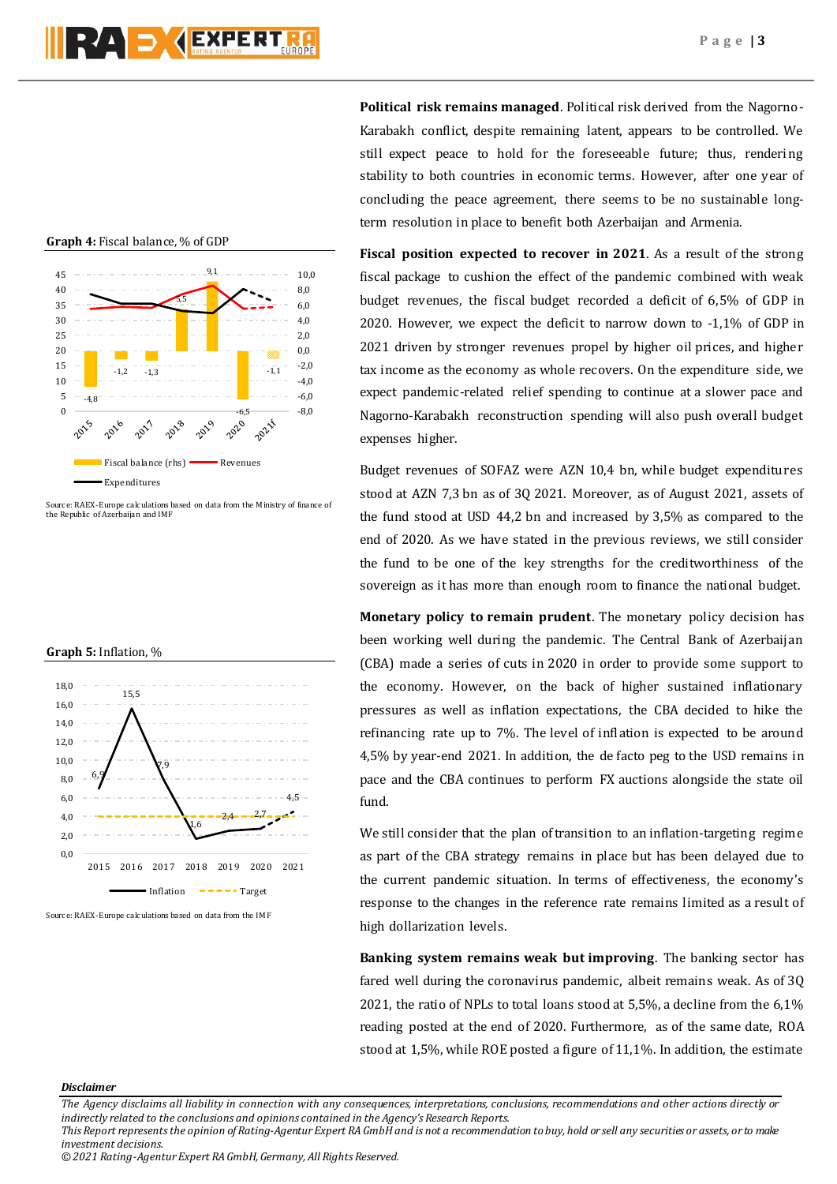RAD **SEXPERT** 

**Graph 4:** Fiscal balance, % of GDP



Source: RAEX-Europe calculations based on data from the Ministry of finance of the Republic of Azerbaijan and IMF

**Graph 5:** Inflation, %



Source: RAEX-Europe calculations based on data from the IMF

**Political risk remains managed**. Political risk derived from the Nagorno-Karabakh conflict, despite remaining latent, appears to be controlled. We still expect peace to hold for the foreseeable future; thus, rendering stability to both countries in economic terms. However, after one year of concluding the peace agreement, there seems to be no sustainable longterm resolution in place to benefit both Azerbaijan and Armenia.

**Fiscal position expected to recover in 2021**. As a result of the strong fiscal package to cushion the effect of the pandemic combined with weak budget revenues, the fiscal budget recorded a deficit of 6,5% of GDP in 2020. However, we expect the deficit to narrow down to -1,1% of GDP in 2021 driven by stronger revenues propel by higher oil prices, and higher tax income as the economy as whole recovers. On the expenditure side, we expect pandemic-related relief spending to continue at a slower pace and Nagorno-Karabakh reconstruction spending will also push overall budget expenses higher.

Budget revenues of SOFAZ were AZN 10,4 bn, while budget expenditures stood at AZN 7,3 bn as of 3Q 2021. Moreover, as of August 2021, assets of the fund stood at USD 44,2 bn and increased by 3,5% as compared to the end of 2020. As we have stated in the previous reviews, we still consider the fund to be one of the key strengths for the creditworthiness of the sovereign as it has more than enough room to finance the national budget.

**Monetary policy to remain prudent**. The monetary policy decision has been working well during the pandemic. The Central Bank of Azerbaijan (CBA) made a series of cuts in 2020 in order to provide some support to the economy. However, on the back of higher sustained inflationary pressures as well as inflation expectations, the CBA decided to hike the refinancing rate up to 7%. The level of inflation is expected to be around 4,5% by year-end 2021. In addition, the de facto peg to the USD remains in pace and the CBA continues to perform FX auctions alongside the state oil fund.

We still consider that the plan of transition to an inflation-targeting regime as part of the CBA strategy remains in place but has been delayed due to the current pandemic situation. In terms of effectiveness, the economy's response to the changes in the reference rate remains limited as a result of high dollarization levels.

**Banking system remains weak but improving**. The banking sector has fared well during the coronavirus pandemic, albeit remains weak. As of 3Q 2021, the ratio of NPLs to total loans stood at 5,5%, a decline from the 6,1% reading posted at the end of 2020. Furthermore, as of the same date, ROA stood at 1,5%, while ROE posted a figure of 11,1%. In addition, the estimate

### *Disclaimer*

*The Agency disclaims all liability in connection with any consequences, interpretations, conclusions, recommendations and other actions directly or indirectly related to the conclusions and opinions contained in the Agency's Research Reports. This Report represents the opinion of Rating-Agentur Expert RA GmbH and is not a recommendation to buy, hold or sell any securities or assets, or to make investment decisions.*

*<sup>© 2021</sup> Rating-Agentur Expert RA GmbH, Germany, All Rights Reserved.*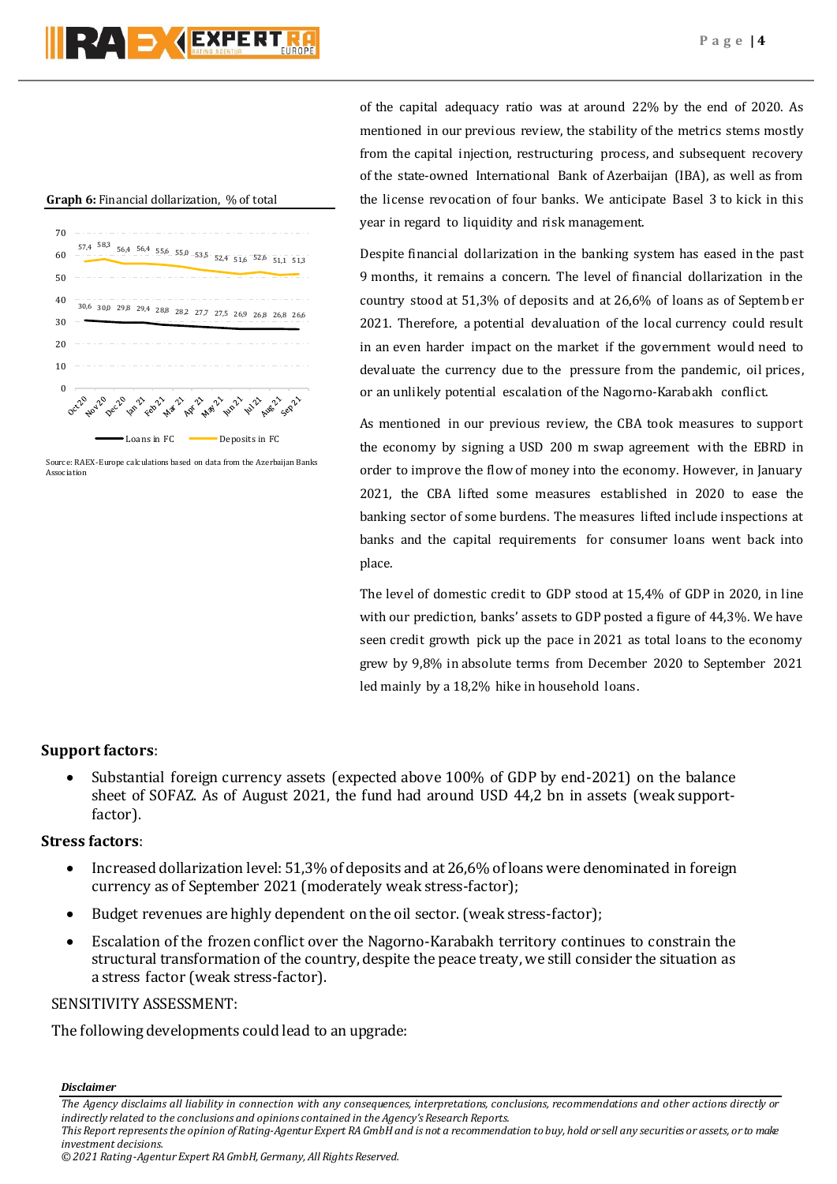### **Graph 6:** Financial dollarization, % of total



Source: RAEX-Europe calculations based on data from the Azerbaijan Banks Association

of the capital adequacy ratio was at around 22% by the end of 2020. As mentioned in our previous review, the stability of the metrics stems mostly from the capital injection, restructuring process, and subsequent recovery of the state-owned International Bank of Azerbaijan (IBA), as well as from the license revocation of four banks. We anticipate Basel 3 to kick in this year in regard to liquidity and risk management.

Despite financial dollarization in the banking system has eased in the past 9 months, it remains a concern. The level of financial dollarization in the country stood at 51,3% of deposits and at 26,6% of loans as of Septemb er 2021. Therefore, a potential devaluation of the local currency could result in an even harder impact on the market if the government would need to devaluate the currency due to the pressure from the pandemic, oil prices, or an unlikely potential escalation of the Nagorno-Karabakh conflict.

As mentioned in our previous review, the CBA took measures to support the economy by signing a USD 200 m swap agreement with the EBRD in order to improve the flow of money into the economy. However, in January 2021, the CBA lifted some measures established in 2020 to ease the banking sector of some burdens. The measures lifted include inspections at banks and the capital requirements for consumer loans went back into place.

The level of domestic credit to GDP stood at 15,4% of GDP in 2020, in line with our prediction, banks' assets to GDP posted a figure of 44,3%. We have seen credit growth pick up the pace in 2021 as total loans to the economy grew by 9,8% in absolute terms from December 2020 to September 2021 led mainly by a 18,2% hike in household loans.

# **Support factors:**

 Substantial foreign currency assets (expected above 100% of GDP by end-2021) on the balance sheet of SOFAZ. As of August 2021, the fund had around USD 44,2 bn in assets (weak supportfactor).

# **Stress factors**:

- Increased dollarization level: 51,3% of deposits and at 26,6% of loans were denominated in foreign currency as of September 2021 (moderately weak stress-factor);
- Budget revenues are highly dependent on the oil sector. (weak stress-factor);
- Escalation of the frozen conflict over the Nagorno-Karabakh territory continues to constrain the structural transformation of the country, despite the peace treaty, we still consider the situation as a stress factor (weak stress-factor).

# SENSITIVITY ASSESSMENT:

The following developments could lead to an upgrade:

*Disclaimer* 

*investment decisions.*

*The Agency disclaims all liability in connection with any consequences, interpretations, conclusions, recommendations and other actions directly or indirectly related to the conclusions and opinions contained in the Agency's Research Reports. This Report represents the opinion of Rating-Agentur Expert RA GmbH and is not a recommendation to buy, hold or sell any securities or assets, or to make*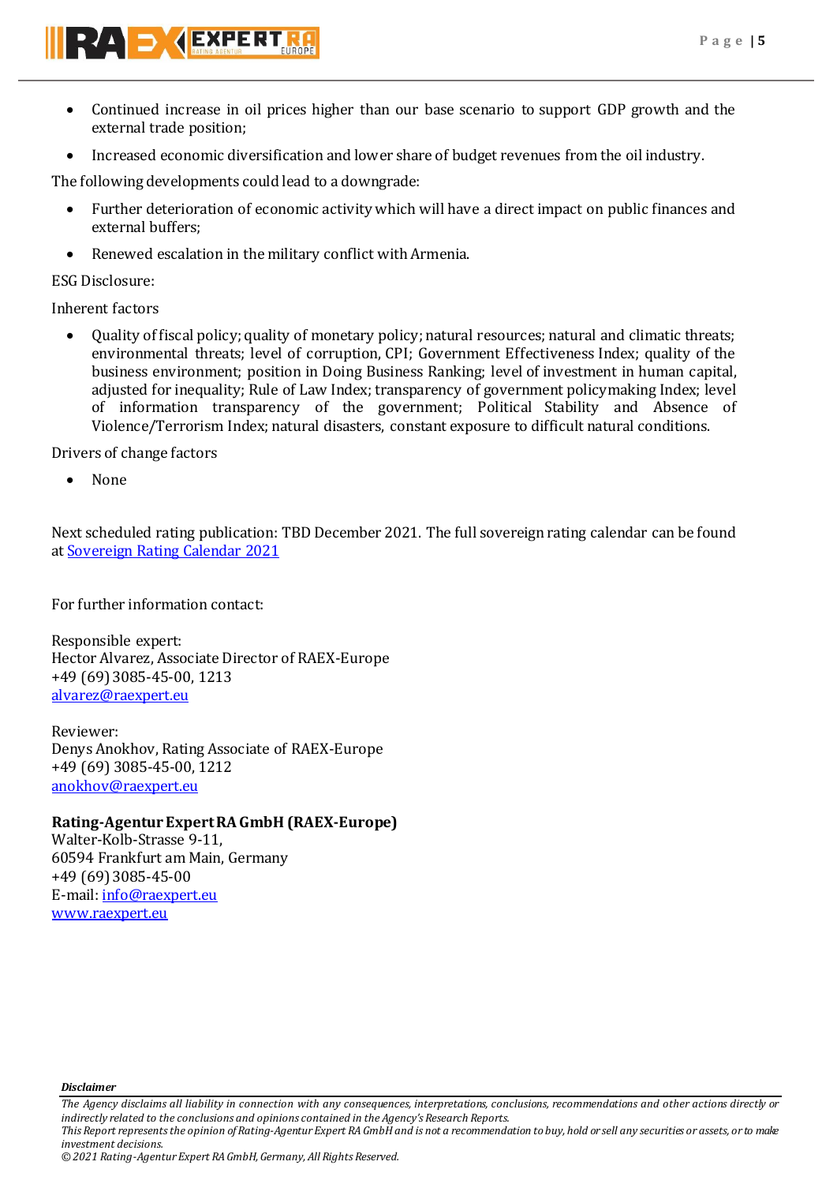

- Continued increase in oil prices higher than our base scenario to support GDP growth and the external trade position;
- Increased economic diversification and lower share of budget revenues from the oil industry.

The following developments could lead to a downgrade:

- Further deterioration of economic activity which will have a direct impact on public finances and external buffers;
- Renewed escalation in the military conflict with Armenia.

ESG Disclosure:

Inherent factors

 Quality of fiscal policy; quality of monetary policy; natural resources; natural and climatic threats; environmental threats; level of corruption, CPI; Government Effectiveness Index; quality of the business environment; position in Doing Business Ranking; level of investment in human capital, adjusted for inequality; Rule of Law Index; transparency of government policymaking Index; level of information transparency of the government; Political Stability and Absence of Violence/Terrorism Index; natural disasters, constant exposure to difficult natural conditions.

Drivers of change factors

None

Next scheduled rating publication: TBD December 2021. The full sovereign rating calendar can be found at [Sovereign Rating Calendar 2021](https://raexpert.eu/sovereign/#conf-tab-5)

For further information contact:

Responsible expert: Hector Alvarez, Associate Director of RAEX-Europe +49 (69) 3085-45-00, 1213 [alvarez@raexpert.eu](mailto:alvarez@raexpert.eu)

Reviewer: Denys Anokhov, Rating Associate of RAEX-Europe +49 (69) 3085-45-00, 1212 [anokhov@raexpert.eu](mailto:anokhov@raexpert.eu)

# **Rating-Agentur Expert RA GmbH (RAEX-Europe)**

Walter-Kolb-Strasse 9-11, 60594 Frankfurt am Main, Germany +49 (69) 3085-45-00 E-mail[: info@raexpert.eu](mailto:info@raexpert.eu) [www.raexpert.eu](http://www.raexpert.eu/)

*Disclaimer* 

*The Agency disclaims all liability in connection with any consequences, interpretations, conclusions, recommendations and other actions directly or indirectly related to the conclusions and opinions contained in the Agency's Research Reports. This Report represents the opinion of Rating-Agentur Expert RA GmbH and is not a recommendation to buy, hold or sell any securities or assets, or to make* 

*investment decisions.*

*© 2021 Rating-Agentur Expert RA GmbH, Germany, All Rights Reserved.*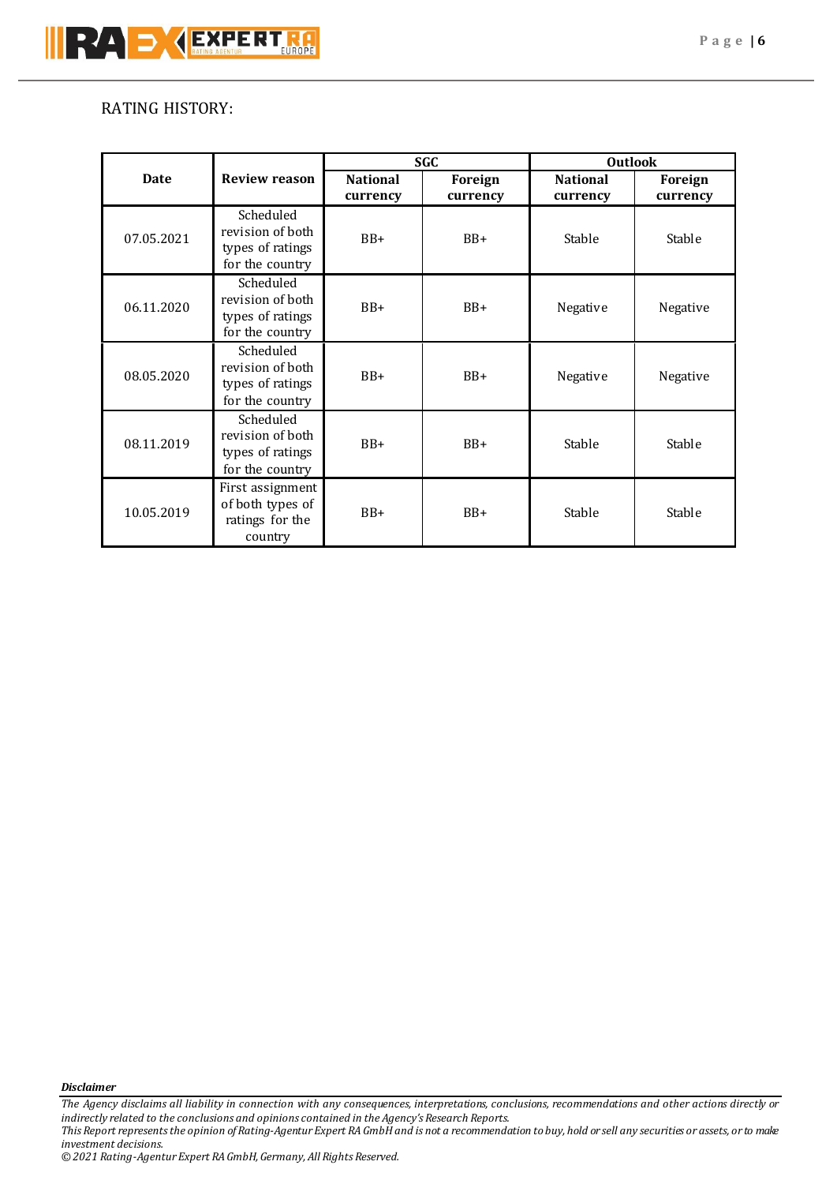# RATING HISTORY:

|             |                                                                      | <b>SGC</b>                  |                     | <b>Outlook</b>              |                     |
|-------------|----------------------------------------------------------------------|-----------------------------|---------------------|-----------------------------|---------------------|
| <b>Date</b> | <b>Review reason</b>                                                 | <b>National</b><br>currency | Foreign<br>currency | <b>National</b><br>currency | Foreign<br>currency |
| 07.05.2021  | Scheduled<br>revision of both<br>types of ratings<br>for the country | $BB+$                       | $BB+$               | Stable                      | Stable              |
| 06.11.2020  | Scheduled<br>revision of both<br>types of ratings<br>for the country | $BB+$                       | $BB+$               | Negative                    | Negative            |
| 08.05.2020  | Scheduled<br>revision of both<br>types of ratings<br>for the country | $BB+$                       | $BB+$               | Negative                    | Negative            |
| 08.11.2019  | Scheduled<br>revision of both<br>types of ratings<br>for the country | $BB+$                       | $BB+$               | Stable                      | Stable              |
| 10.05.2019  | First assignment<br>of both types of<br>ratings for the<br>country   | $BB+$                       | $BB+$               | Stable                      | Stable              |

*Disclaimer* 

*The Agency disclaims all liability in connection with any consequences, interpretations, conclusions, recommendations and other actions directly or indirectly related to the conclusions and opinions contained in the Agency's Research Reports. This Report represents the opinion of Rating-Agentur Expert RA GmbH and is not a recommendation to buy, hold or sell any securities or assets, or to make investment decisions.*